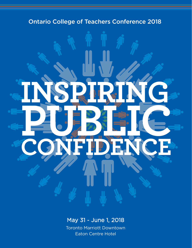

## May 31 - June 1, 2018

Toronto Marriott Downtown Eaton Centre Hotel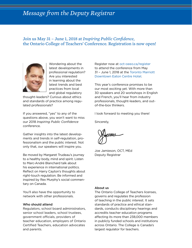## *Message from the Deputy Registrar*

## Join us May 31 – June 1, 2018 at *Inspiring Public Confidence*, the Ontario College of Teachers' Conference. Registration is now open!



Wondering about the latest developments in professional regulation? Are you interested in learning about the latest trends and best practices from local and global regulatory

thought-leaders? Curious about ethics and standards of practice among regulated professionals?

If you answered, "yes" to any of the questions above, you won't want to miss our 2018 *Inspiring Public Confidence* conference.

Gather insights into the latest developments and trends in self-regulation, professionalism and the public interest. Not only that, our speakers will inspire you.

Be moved by Margaret Trudeau's journey to a healthy body, mind and spirit. Listen to Marc-André Blanchard talk about his experience in international politics. Reflect on Harry Cayton's thoughts about right-touch regulation. Be informed and inspired by Rex Murphy's social commentary on Canada.

You'll also have the opportunity to network with other professionals.

#### Who should attend

Regulators, school board administrators, senior school leaders, school trustees, government officials, providers of teacher education, employers of Ontario Certified Teachers, education advocates and parents.

[Register now](oct-oeeo.ca/register) at [oct-oeeo.ca/register](https://www.gifttool.com/registrar/ShowEventDetails?ID=1728&EID=25012) to attend the conference from May 31 – June 1, 2018 at the [Toronto Marriott](http://www.marriott.com/meeting-event-hotels/group-corporate-travel/groupCorp.mi?resLinkData=Ontario%20College%20of%20Teachers%20Conference%202018%5Eyyzec%60octocta%60232.00%60CAD%60false%604%605/29/18%606/2/18%604/30/18&app=resvlink&stop_mobi=yes)  [Downtown Eaton Centre Hotel.](http://www.marriott.com/meeting-event-hotels/group-corporate-travel/groupCorp.mi?resLinkData=Ontario%20College%20of%20Teachers%20Conference%202018%5Eyyzec%60octocta%60232.00%60CAD%60false%604%605/29/18%606/2/18%604/30/18&app=resvlink&stop_mobi=yes)

This year's conference promises to be our most exciting yet. With more than 30 speakers and 20 workshops in English and French, you'll hear from industry professionals, thought-leaders, and outof-the-box thinkers.

I look forward to meeting you there!

Sincerely,

Joe Jamieson, OCT, MEd Deputy Registrar

#### [About us](http://www.oct.ca/about-the-college)

The Ontario College of Teachers licenses, governs and regulates the profession of teaching in the public interest. It sets standards of practice and ethical standards, conducts disciplinary hearings and accredits teacher education programs affecting its more than 238,000 members in publicly funded schools and institutions across Ontario. The College is Canada's largest regulator for teachers.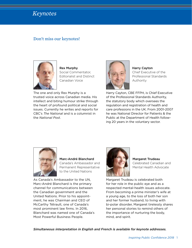

## Don't miss our keynotes!



[Rex Murphy](http://www.oct.ca/about-the-college/conference-2018/keynote/rex-murphy) Social Commentator, Editorialist and Distinct Canadian Voice

The one and only Rex Murphy is a trusted voice across Canadian media. His intellect and biting humour strike through the heart of profound political and social issues. Currently he writes and reports for CBC's *The National* and is a columnist in the *National Post*.



[Harry Cayton](http://www.oct.ca/about-the-college/conference-2018/keynote/harry-cayton) Chief Executive of the Professional Standards Authority

Harry Cayton, CBE FFPH, is Chief Executive of the Professional Standards Authority, the statutory body which oversees the regulation and registration of health and care professions in the UK. From 2001-2007 he was National Director for Patients & the Public at the Department of Health following 20 years in the voluntary sector.



[Marc-André Blanchard](http://www.oct.ca/about-the-college/conference-2018/keynote/marc-andre-blanchard) Canada's Ambassador and Permanent Representative to the United Nations

As Canada's Ambassador to the UN, Marc-André Blanchard is the primary channel for communications between the Canadian government and the United Nations. Prior to his appointment, he was Chairman and CEO of McCarthy Tétrault, one of Canada's most prominent law firms. In 2016, Blanchard was named one of Canada's Most Powerful Business People.



[Margaret Trudeau](http://www.oct.ca/about-the-college/conference-2018/keynote/margaret-trudeau) Celebrated Canadian and Mental Health Advocate

Margaret Trudeau is celebrated both for her role in the public eye and as a respected mental-health issues advocate. From becoming a prime minister's wife at a young age, to the loss of both her son and her former husband, to living with bi-polar disorder, Margaret tirelessly shares her personal stories to remind others of the importance of nurturing the body, mind, and spirit.

*Simultaneous interpretation in English and French is available for keynote addresses.*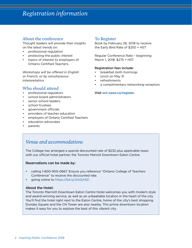## *Registration information*

## About the conference

Thought leaders will provide their insights on the latest trends on:

- professional regulation
- protecting the public interest
- topics of interest to employers of Ontario Certified Teachers.

*Workshops will be offered in English or French, or by simultaneous interpretation.*

## Who should attend

- professional regulators
- school board administrators
- senior school leaders
- school trustees
- government officials
- providers of teacher education
- employers of Ontario Certified Teachers
- education advocates
- parents

## To Register

Book by February 28, 2018 to receive the Early Bird Rate of \$250 + HST

Regular Conference Rate – beginning March 1, 2018: \$275 + HST

#### Registration fees include:

- breakfast both mornings
- lunch on May 31
- refreshments
- a complimentary networking reception.

#### Visit [oct-oeeo.ca/register.](https://www.gifttool.com/registrar/ShowEventDetails?ID=1728&EID=25012)

## *Venue and accommodations*

The College has arranged a special discounted rate of \$232 plus applicable taxes with our official hotel partner, the Toronto Mariott Downtown Eaton Centre.

#### Reservations can be made by:

- calling 1-800-905-0667. Ensure you reference "Ontario College of Teachers Conference" to receive the discounted rate.
- going [online](http://www.marriott.com/meeting-event-hotels/group-corporate-travel/groupCorp.mi?resLinkData=Ontario%20College%20of%20Teachers%20Conference%202018%5Eyyzec%60octocta%60232.00%60CAD%60false%604%605/29/18%606/2/18%604/30/18&app=resvlink&stop_mobi=yes) to https://[bit.ly/2A0jA9Z.](http://www.marriott.com/meeting-event-hotels/group-corporate-travel/groupCorp.mi?resLinkData=Ontario%20College%20of%20Teachers%20Conference%202018%5Eyyzec%60octocta%60232.00%60CAD%60false%604%605/29/18%606/2/18%604/30/18&app=resvlink&stop_mobi=yes)

#### About the Hotel:

The Toronto Marriott Downtown Eaton Centre Hotel welcomes you with modern style and award-winning service, as well as an unbeatable location in the heart of the city. You'll find the hotel right next to the Eaton Centre, home of the city's best shopping. Dundas Square and the CN Tower are also nearby. This prime downtown location makes it easy for you to explore the best of this vibrant city.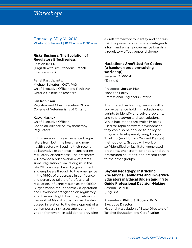## *Workshops*

Thursday, May 31, 2018 Workshop Series 1 | 10:15 a.m. – 11:30 a.m.

#### **Risky Business: The Evolution of Regulatory Effectiveness**

Session ID: PR-1EF (English with simultaneous French interpretation)

Panel Participants: Michael Salvatori, OCT, PhD Chief Executive Officer and Registrar Ontario College of Teachers

#### **Jan Robinson**

Registrar and Chief Executive Officer College of Veterinarians of Ontario

#### Katya Masnyk

Chief Executive Officer Canadian Alliance of Physiotherapy Regulators

In this session, three experienced regulators from both the health and nonhealth sectors will outline their recent collaborative experience in considering regulatory effectiveness. The presenters will provide a brief overview of professional regulation from its origins in the late 19th century driven by government and employers through to the emergence in the 1990s of a decrease in confidence and perceived failure of professional regulation. Influencers such as the OECD (Organization for Economic Co-operation and Development) agenda on regulatory effectiveness, Right Touch regulation and the work of Malcolm Sparrow will be discussed in relation to the development of a contemporary risk assessment and mitigation framework. In addition to providing a draft framework to identify and address risk, the presenters will share strategies to inform and engage governance boards in a regulatory effectiveness dialogue.

#### **Hackathons Aren't Just for Coders (a hands-on problem-solving workshop)**

Session ID: PR-1aE (English)

Presenter: Jordan Max Manager, Policy Professional Engineers Ontario

This interactive learning session will let you experience holding hackathons or sprints to identify and solve problems, and to prototype and test solutions. While hackathons are typically being used for rapid software development, they can also be applied to policy or program development, using Design Thinking (aka Human-Centred Design) methodology. Groups will work on self-identified or facilitator-generated problems, brainstorm, prioritize, and build prototyped solutions, and present them to the other groups.

## **Beyond Pedagogy: Instructing Pre-service Candidates and In-Service Educators in Ethical Understanding to Guide Professional Decision-Making**

Session ID: PI-1E (English)

Presenters: Phillip S. Rogers, EdD Executive Director National Association of State Directors of Teacher Education and Certification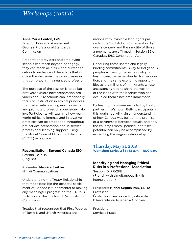## *Workshops (cont'd)*

#### Anne Marie Fenton, EdS

Director, Educator Assessment Georgia Professional Standards **Commission** 

Preparation providers and employing schools can teach beyond pedagogy they can teach all future and current educators to understand the ethics that will guide the decisions they must make in this complex, highly nuanced profession.

The purpose of the session is to collaboratively explore how preparation providers and P-12 schools can intentionally focus on instruction in ethical principles that foster safe learning environments and promote professional decision-making. Participants will examine how real world ethical dilemmas and innovative practices can be embedded throughout pre-service preparation and in-service professional learning support, using the Model Code of Ethics for Educators (MCEE) as a guide.

#### **Reconciliation: Beyond Canada 150**

Session ID: PI-1aE (English)

Presenter: Maurice Switzer Nimkii Communications

Understanding the Treaty Relationship that made possible the peaceful settlement of Canada is fundamental to making any meaningful progress on the 94 Calls to Action of the Truth and Reconciliation Commission.

Treaties that recognized that First Peoples of Turtle Island (North America) are

nations with inviolable land rights preceded the 1867 Act of Confederation by over a century, and the sanctity of those agreements are affirmed in Section 35 of Canada's 1982 Constitution Act.

Honouring these sacred and legallybinding commitments is key to Indigenous peoples achieving the same quality of health care, the same standards of education, and the same economic opportunities as the millions of immigrants whose ancestors agreed to share the wealth of the lands with the peoples who had occupied them since time immemorial.

By hearing the stories encoded by treaty partners in Wampum Belts, participants in this workshop will gain an understanding of how Canada was built on the promise of a partnership between equals, and how the country's moral, political, and fiscal potential can only be accomplished by respecting the original relationship.

### Thursday, May 31, 2018 Workshop Series 2 | 11:45 a.m. – 1:00 p.m.

## **Identifying and Managing Ethical Risks in a Professional Association**

Session ID: PR-2FE (French with simultaneous English interpretation)

Presenter: Michel Séguin PhD, CRHA Professor École des sciences de la gestion de l'Université du Québec à Montréal

President Services Praxie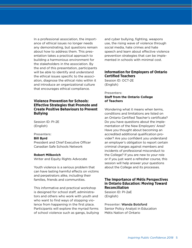In a professional association, the importance of ethical issues no longer needs any demonstrating, but questions remain about how to address them. This presentation takes a practical approach to building a harmonious environment for the stakeholders in the association. By the end of this presentation, participants will be able to identify and understand the ethical issues specific to the association, diagnose the ethical risks within it and introduce an organizational culture that encourages ethical compliance.

#### **Violence Prevention for Schools: Effective Strategies that Promote and Create Positive Behaviours to Prevent Bullying**

Session ID: PI-2E (English)

#### Presenters:

#### **Bill Byrd**

President and Chief Executive Officer Canadian Safe Schools Network

#### **Robert Milkovich**

Writer and Equity Rights Advocate

Youth violence is a serious problem that can have lasting harmful effects on victims and perpetrators alike, including their families, friends and communities.

This informative and practical workshop is designed for school staff, administrators and others who work with youth and who want to find ways of stopping violence from happening in the first place. Participants will explore the myriad forms of school violence such as gangs, bullying and cyber bullying, fighting, weapons use, the rising wave of violence through social media, hate crimes and hate speech and learn about effective violence prevention strategies that can be implemented in schools with minimal cost.

#### **Information for Employers of Ontario Certified Teachers**

Session ID: OCT-2E (English)

#### Presenters:

**Staff from the Ontario College of Teachers**

Wondering what it means when terms, conditions and limitations are listed on an Ontario Certified Teacher's certificate? Do you have questions about the implementation of the New Employers' Area? Have you thought about becoming an accredited additional qualification provider? Are you confident you understand an employer's obligation to report certain criminal charges against members and incidents of professional misconduct to the College? If you are new to your role or if you just want a refresher course, this session will help answer your questions about the College and its processes.

#### **The Importance of Métis Perspectives in Ontario Education: Moving Toward Reconciliation**

Session ID: PI-2aE (English)

Presenter: Wanda Botsford Senior Policy Analyst in Education Métis Nation of Ontario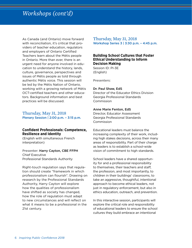## *Workshops (cont'd)*

As Canada (and Ontario) move forward with reconciliation, it's critical that providers of teacher education, regulators and employers of Ontario Certified Teachers learn about the Métis people in Ontario. More than ever, there is an urgent need for anyone involved in education to understand the history, lands, culture, governance, perspectives and issues of Métis people as told through authentic Métis voice. This session will be led by the Métis Nation of Ontario, working with a growing network of Métis OCT-certified teachers and other educators. Background information and best practices will be discussed.

### Thursday, May 31, 2018 Plenary Session | 2:00 p.m. – 3:15 p.m.

### **Confident Professionals: Competence, Resilience and Identity**

(English with simultaneous French interpretation)

Presenter: Harry Cayton, CBE FFPH Chief Executive Professional Standards Authority

Right-touch regulation says that regulation should create "framework in which professionalism can flourish". Drawing on research by the Professional Standards Authority, Harry Cayton will explore how the qualities of professionalism have shifted as society has changed, how the role of regulation must adapt to new circumstances and will reflect on what it means to be a professional in the 21st century.

### Thursday, May 31, 2018 Workshop Series 3 | 3:30 p.m. – 4:45 p.m.

### **Building School Cultures that Foster Ethical Understanding to Inform Decision Making**

Session ID: PI-3E (English)

Presenters:

#### Dr. Paul Shaw, EdS

Director of the Educator Ethics Division Georgia Professional Standards **Commission** 

#### Anne Marie Fenton, EdS

Director, Educator Assessment Georgia Professional Standards Commission

Educational leaders must balance the increasing complexity of their work, including high stakes decisions, across their many areas of responsibility. Part of their charge as leaders is to establish a school-wide vision of commitment to high standards.

School leaders have a shared opportunity for and a professional responsibility to themselves, their teachers and staff, the profession, and most importantly, to children in their buildings' classrooms, to take an aggressive, thoughtful, intentional approach to become ethical leaders, not just in regulatory enforcement, but also in ethics education, outreach, and prevention.

In this interactive session, participants will explore the critical role and responsibility of educational leaders to ensure the school cultures they build embrace an intentional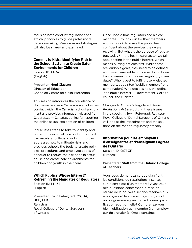focus on both conduct regulations and ethical principles to guide professional decision-making. Resources and strategies will also be shared and examined.

### **Commit to Kids: Identifying Risk in the School System to Create Safer Environments for Children**

Session ID: PI-3aE (English)

Presenter: Noni Classen Director of Education Canadian Centre for Child Protection

This session introduces the prevalence of child sexual abuse in Canada, a scan of a misconduct within the Canadian school environment and provides information gleaned from Cybertip.ca — Canada's tip-line for reporting the online sexual exploitation of children.

It discusses steps to take to identify and correct professional misconduct before it can escalate to illegal conduct. It further addresses how to mitigate risks and provides schools the tools to create policies, procedures and employee codes of conduct to reduce the risk of child sexual abuse and create safe environments for children and youth in their care.

## **Which Public? Whose Interest? Refreshing the Mandates of Regulators**

Session ID: PR-3E (English)

Presenter: Irwin Fefergrad, CS, BA, BCL, LLB Registrar Royal College of Dental Surgeons of Ontario

Once upon a time regulators had a clear mandate — to look out for their members and, with luck, to make the public feel confident about the services they were receiving. But what is the purpose of regulators today? In the health care sector we talk about acting in the public interest, which means putting patients first. While these are laudable goals, they need to be defined and have measurable outcomes. How do we build consensus on modern regulatory mandates? Who is best to fulfil those — elected members, appointed "public members" or a combination? Who decides how we define "the public interest" — government, College council, the Minister?

Changes to Ontario's Regulated *Health Professions Act* are putting these issues in the spotlight. Irwin Fefergrad, Registrar, Royal College of Dental Surgeons of Ontario will look at the impediments and the solutions on the road to regulatory efficacy.

### **Information pour les employeurs d'enseignantes et d'enseignants agréés de l'Ontario**

Session ID: OCT-3F (French)

#### Presenters : Staff from the Ontario College of Teachers

Vous vous demandez ce que signifient les conditions ou restrictions inscrites sur le certificat d'un membre? Avez-vous des questions concernant la mise en œuvre de la nouvelle section réservée aux employeurs? Avez-vous déjà songé à offrir un programme agréé menant à une qualification additionnelle? Comprenez-vous bien l'obligation qui incombe à un employeur de signaler à l'Ordre certaines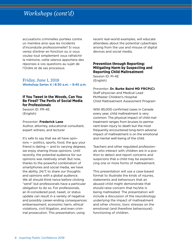## *Workshops (cont'd)*

accusations criminelles portées contre un membre ainsi que les incidents d'inconduite professionnelle? Si vous venez d'entrer en fonction ou si vous voulez tout simplement vous rafraîchir la mémoire, cette séance apportera des réponses à vos questions au sujet de l'Ordre et de ses processus.

Friday, June 1, 2018 Workshop Series 4 | 8:30 a.m. – 9:45 a.m.

#### **If You Tweet in the Woods, Can You Be Fired? The Perils of Social Media for Professionals**

Session ID: PR-4E (English)

#### Presenter: **Frederick Lane**

Author, attorney, educational consultant, expert witness, and lecturer

It's safe to say that we all have opinions — politics, sports, food, the guy your friend is dating — and to varying degrees, we enjoy sharing those opinions. Until recently, the potential audience for our opinions was relatively small. But now, thanks to the powerful combination of smartphones and social media, we have the ability, 24/7, to share our thoughts and opinions with a global audience. We all should think twice before clicking "send" but professionals have a particular obligation to do so. For professionals, an ill-considered post, tweet, or status update can result in a variety of negative and possibly career-ending consequences: embarrassment, economic harm, ethical violations, civil litigation, and even criminal prosecution. This presentation, using

recent real-world examples, will educate attendees about the potential cybertraps arising from the use and misuse of digital devices and social media.

#### **Prevention through Reporting: Mitigating Harm by Suspecting and Reporting Child Maltreatment**

Session ID: PI-4E (English)

Presenter: **Dr. Burke Baird MD FRCP(C)** Staff physician and Medical Lead McMaster Children's Hospital Child Maltreatment Assessment Program

With 85,000 confirmed cases in Canada every year, child maltreatment is very common. The physical impact of child maltreatment ranges from bruises to permanent brain injury to death but the most frequently encountered long-term adverse impact of maltreatment is on the emotional and mental well-being of the child.

Teachers and other regulated professionals who interact with children are in a position to detect and report concerns and suspicions that a child may be experiencing one or more forms of maltreatment.

This presentation will use a case-based format to illustrate the kinds of injuries, statements and behaviours that an abused child might demonstrate that should raise concern that he/she is being maltreated. The presentation will include a discussion of the neurobiology underlying the impact of maltreatment and other chronic, toxic stresses on the emotional (and therefore behavioural) functioning of children.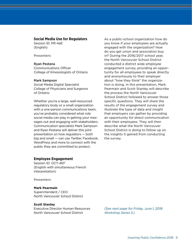#### **Social Media Use for Regulators**

Session ID: PR-4aE (English)

Presenters:

#### Ryan Pestana

Communications Officer College of Kinesiologists of Ontario

#### Mark Sampson

Social Media Digital Specialist College of Physicians and Surgeons of Ontario

Whether you're a large, well-resourced regulatory body or a small organization with a one-person communications team, you've probably considered what role social media can play in getting your messages out and engaging with stakeholders. Communication specialists Mark Sampson and Ryan Pestana will deliver this joint presentation on how regulators — both big and small — can use Twitter, Facebook, WordPress and more to connect with the public they are committed to protect.

#### **Employee Engagement**

Session ID: OCT-4EF (English with simultaneous French interpretation)

Presenters:

#### **Mark Pearmain**

Superintendent / CEO North Vancouver School District

#### **Scott Stanley**

Executive Director Human Resources North Vancouver School District

As a public-school organization how do you know if your employees are actually engaged with the organization? How do you get union and association buy in? During the 2016/2017 school year, the North Vancouver School District conducted a district wide employee engagement survey, providing an opportunity for all employees to speak directly and anonymously to their employer about "how they think" the organization is doing. In this presentation, Mark Pearmain and Scott Stanley will describe the process the North Vancouver School District followed to answer those specific questions. They will share the results of the engagement survey and illustrate the type of data and insight that employers can gather by providing an opportunity for direct communication with their employees. They will then describe what the North Vancouver School District is doing to follow up on the insights it gained from conducting the survey.

*(See next page for Friday, June 1, 2018 Workshop Series 5.)*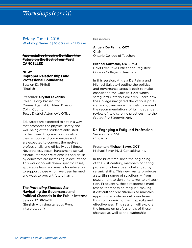## *Workshops(cont'd)*

## Friday, June 1, 2018 Workshop Series 5 | 10:00 a.m. – 11:15 a.m.

#### **Appreciative Inquiry: Building the Future on the Best of our Past! CANCELLED**

## **NEW! Improper Relationships and Professional Boundaries**

Session ID: PI-5cE (English)

#### Presenter: **Crystal Levonius** Chief Felony Prosecutor Crimes Against Children Division Collin County Texas District Attorney's Office

Educators are expected to act in a way that promotes the physical safety and well-being of the students entrusted to their care. They are role models in their schools and communities and are expected to conduct themselves professionally and ethically at all times. Nevertheless, sexual harassment, sexual assault, improper relationships and abuse by educators are increasing in occurrence. This workshop will review specific cases, applicable laws, and means for educators to support those who have been harmed and ways to prevent future harm.

#### **The** *Protecting Students Act***: Navigating the Governance and Political Channels in the Public Interest**

Session ID: PI-5aEF (English with simultaneous French interpretation)

Presenters:

#### **Angela De Palma, OCT** Chair Ontario College of Teachers

**Michael Salvatori, OCT, PhD** Chief Executive Officer and Registrar Ontario College of Teachers

In this session, Angela De Palma and Michael Salvatori outline the political and governance steps it took to make changes to the College's Act which safeguard Ontario's children. Learn how the College navigated the various political and governance channels to embed the recommendations of its independent review of its discipline practices into the *Protecting Students Act*.

## **Re-Engaging a Fatigued Profession**

Session ID: PR-5E (English)

Presenter: **Michael Saver, OCT** Michael Saver PD & Consulting Inc.

In the brief time since the beginning of the 21st century, members of caring professions have been challenged by seismic shifts. This new reality produces a startling range of reactions — from puzzlement to denial to terror to exhaustion. Frequently, these responses manifest as "compassion fatigue", making it difficult for practitioners to maintain appropriate professional boundaries, thus compromising their capacity and effectiveness. This session will explore the impact on professionals of these changes as well as the leadership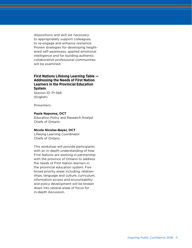dispositions and skill set necessary to appropriately support colleagues to re-engage and enhance resilience. Proven strategies for developing heightened self-awareness, applied emotional intelligence and for building authentic collaborative professional communities will be examined.

## **First Nations Lifelong Learning Table — Addressing the Needs of First Nation Learners in the Provincial Education System**

Session ID: PI-5bE (English)

Presenters:

#### **Paula Naponse, OCT**

Education Policy and Research Analyst Chiefs of Ontario

#### **Nicole Nicolas-Bayer, OCT**

Lifelong Learning Coordinator Chiefs of Ontario

This workshop will provide participants with an in-depth understanding of how First Nations are working in partnership with the province of Ontario to address the needs of First Nation learners in the provincial education system. Five broad priority areas including; relationships, language and culture, curriculum, information access and accountability and policy development will be broken down into several areas of focus for in-depth discussion.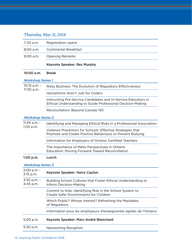## Thursday, May 31, 2018

| 7:30 a.m.                     | <b>Registration opens</b>                                                                                                     |  |
|-------------------------------|-------------------------------------------------------------------------------------------------------------------------------|--|
| $8:00$ a.m.                   | <b>Continental Breakfast</b>                                                                                                  |  |
| $9:00$ a.m.                   | <b>Opening Remarks</b>                                                                                                        |  |
|                               | <b>Keynote Speaker: Rex Murphy</b>                                                                                            |  |
| 10:00 a.m.                    | <b>Break</b>                                                                                                                  |  |
| <b>Workshop Series 1</b>      |                                                                                                                               |  |
| 10:15 a.m. -<br>11:30 a.m.    | Risky Business: The Evolution of Regulatory Effectiveness                                                                     |  |
|                               | Hackathons Aren't Just for Coders                                                                                             |  |
|                               | Instructing Pre-Service Candidates and In-Service Educators in<br>Ethical Understanding to Guide Professional Decision-Making |  |
|                               | Reconciliation: Beyond Canada 150                                                                                             |  |
| <b>Workshop Series 2</b>      |                                                                                                                               |  |
| $11:45$ a.m. -<br>$1:00$ p.m. | Identifying and Managing Ethical Risks in a Professional Association                                                          |  |
|                               | Violence Prevention for Schools: Effective Strategies that<br>Promote and Create Positive Behaviours to Prevent Bullying      |  |
|                               | Information for Employers of Ontario Certified Teachers                                                                       |  |
|                               | The Importance of Métis Perspectives in Ontario<br><b>Education: Moving Forward Toward Reconciliation</b>                     |  |
| 1:00 p.m.                     | Lunch                                                                                                                         |  |
| <b>Workshop Series 3</b>      |                                                                                                                               |  |
| 2:00 p.m -<br>3:15 p.m.       | Keynote Speaker: Harry Cayton                                                                                                 |  |
| 3:30 p.m. -<br>4:45 p.m.      | Building School Cultures that Foster Ethical Understanding to<br><b>Inform Decision-Making</b>                                |  |
|                               | Commit to Kids: Identifying Risk in the School System to<br><b>Create Safer Environments for Children</b>                     |  |
|                               | Which Public? Whose Interest? Refreshing the Mandates<br>of Regulators                                                        |  |
|                               | Information pour les employeurs d'enseignantes agréés de l'Ontario                                                            |  |
| 5:00 p.m.                     | Keynote Speaker: Marc-André Blanchard                                                                                         |  |
| 5:30 p.m.                     | Networking Reception                                                                                                          |  |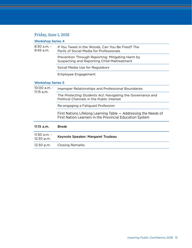## Friday, June 1, 2018

## Workshop Series 4

| $8:30$ a.m. -<br>$9:45$ a.m. | If You Tweet in the Woods, Can You Be Fired? The<br>Perils of Social Media for Professionals                                |  |
|------------------------------|-----------------------------------------------------------------------------------------------------------------------------|--|
|                              | Prevention Through Reporting: Mitigating Harm by<br>Suspecting and Reporting Child Maltreatment                             |  |
|                              | Social Media Use for Regulators                                                                                             |  |
|                              | Employee Engagement                                                                                                         |  |
| <b>Workshop Series 5</b>     |                                                                                                                             |  |
| 10:00 a.m. -<br>$11:15$ a.m. | Improper Relationships and Professional Boundaries                                                                          |  |
|                              | The <i>Protecting Students Act</i> : Navigating the Governance and<br>Political Channels in the Public Interest             |  |
|                              | Re-engaging a Fatigued Profession                                                                                           |  |
|                              | First Nations Lifelong Learning Table – Addressing the Needs of<br>First Nation Learners in the Provincial Education System |  |

| 11:15 a.m.                 | <b>Break</b>                      |
|----------------------------|-----------------------------------|
| 11:30 a.m. -<br>12:30 p.m. | Keynote Speaker: Margaret Trudeau |
| 12:30 p.m.                 | <b>Closing Remarks</b>            |